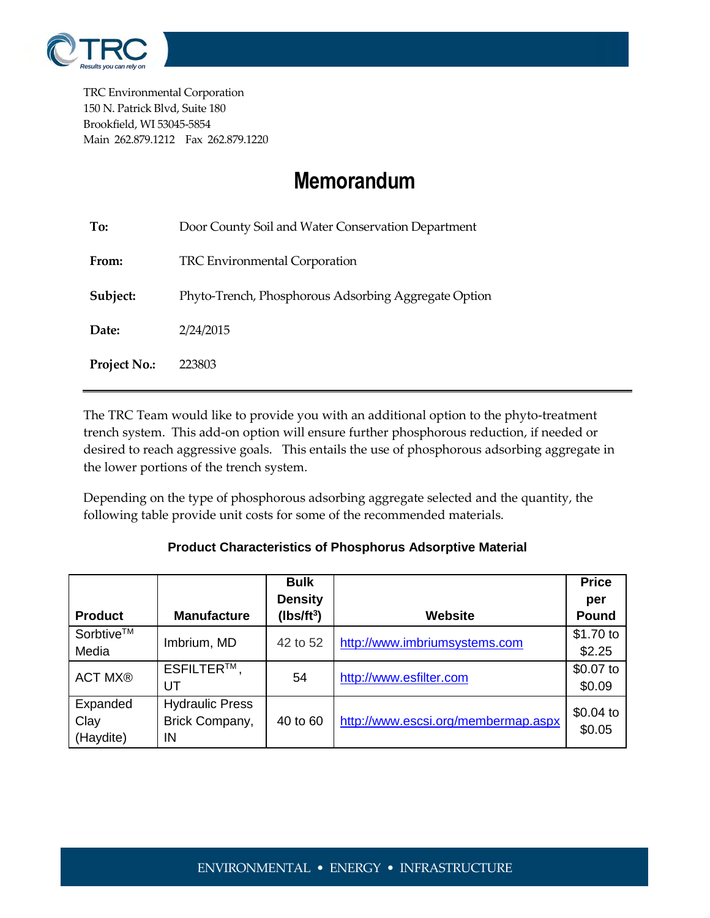

TRC Environmental Corporation 150 N. Patrick Blvd, Suite 180 Brookfield, WI 53045-5854 Main 262.879.1212 Fax 262.879.1220

## **Memorandum**

| To:                 | Door County Soil and Water Conservation Department   |  |  |  |
|---------------------|------------------------------------------------------|--|--|--|
| From:               | <b>TRC Environmental Corporation</b>                 |  |  |  |
| Subject:            | Phyto-Trench, Phosphorous Adsorbing Aggregate Option |  |  |  |
| Date:               | 2/24/2015                                            |  |  |  |
| <b>Project No.:</b> | 223803                                               |  |  |  |
|                     |                                                      |  |  |  |

The TRC Team would like to provide you with an additional option to the phyto-treatment trench system. This add-on option will ensure further phosphorous reduction, if needed or desired to reach aggressive goals. This entails the use of phosphorous adsorbing aggregate in the lower portions of the trench system.

Depending on the type of phosphorous adsorbing aggregate selected and the quantity, the following table provide unit costs for some of the recommended materials.

| <b>Product</b>                | <b>Manufacture</b>                             | <b>Bulk</b><br><b>Density</b><br>$(lbs/ft^3)$ | <b>Website</b>                      | <b>Price</b><br>per<br>Pound |
|-------------------------------|------------------------------------------------|-----------------------------------------------|-------------------------------------|------------------------------|
| Sorbtive™<br>Media            | Imbrium, MD                                    | 42 to 52                                      | http://www.imbriumsystems.com       | \$1.70 to<br>\$2.25          |
| <b>ACT MX®</b>                | ESFILTER™,<br>UT                               | 54                                            | http://www.esfilter.com             | \$0.07 to<br>\$0.09          |
| Expanded<br>Clay<br>(Haydite) | <b>Hydraulic Press</b><br>Brick Company,<br>IN | 40 to 60                                      | http://www.escsi.org/membermap.aspx | $$0.04$ to<br>\$0.05         |

## **Product Characteristics of Phosphorus Adsorptive Material**